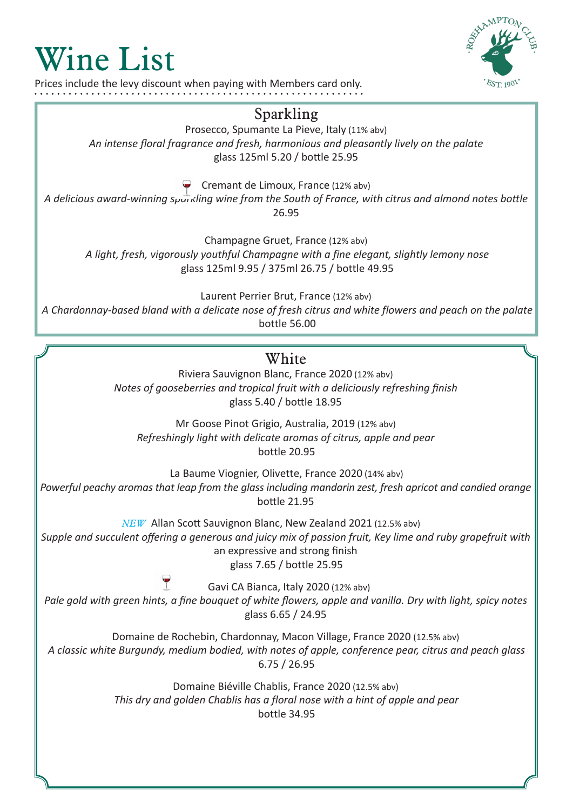## Wine List

Prices include the levy discount when paying with Members card only.



## Sparkling

Prosecco, Spumante La Pieve, Italy (11% abv) *An intense floral fragrance and fresh, harmonious and pleasantly lively on the palate* glass 125ml 5.20 / bottle 25.95

Cremant de Limoux, France (12% abv)

*A delicious award-winning sparkling wine from the South of France, with citrus and almond notes bottle* 26.95

Champagne Gruet, France (12% abv)

*A light, fresh, vigorously youthful Champagne with a fine elegant, slightly lemony nose* glass 125ml 9.95 / 375ml 26.75 / bottle 49.95

Laurent Perrier Brut, France (12% abv) *A Chardonnay-based bland with a delicate nose of fresh citrus and white flowers and peach on the palate* bottle 56.00

## **White**

Riviera Sauvignon Blanc, France 2020 (12% abv) *Notes of gooseberries and tropical fruit with a deliciously refreshing finish* glass 5.40 / bottle 18.95

Mr Goose Pinot Grigio, Australia, 2019 (12% abv) *Refreshingly light with delicate aromas of citrus, apple and pear* bottle 20.95

La Baume Viognier, Olivette, France 2020 (14% abv) *Powerful peachy aromas that leap from the glass including mandarin zest, fresh apricot and candied orange* bottle 21.95

*NEW* Allan Scott Sauvignon Blanc, New Zealand 2021 (12.5% abv) *Supple and succulent offering a generous and juicy mix of passion fruit, Key lime and ruby grapefruit with*  an expressive and strong finish glass 7.65 / bottle 25.95

Gavi CA Bianca, Italy 2020 (12% abv) *Pale gold with green hints, a fine bouquet of white flowers, apple and vanilla. Dry with light, spicy notes* glass 6.65 / 24.95

Domaine de Rochebin, Chardonnay, Macon Village, France 2020 (12.5% abv) *A classic white Burgundy, medium bodied, with notes of apple, conference pear, citrus and peach glass* 6.75 / 26.95

> Domaine Biéville Chablis, France 2020 (12.5% abv) *This dry and golden Chablis has a floral nose with a hint of apple and pear* bottle 34.95